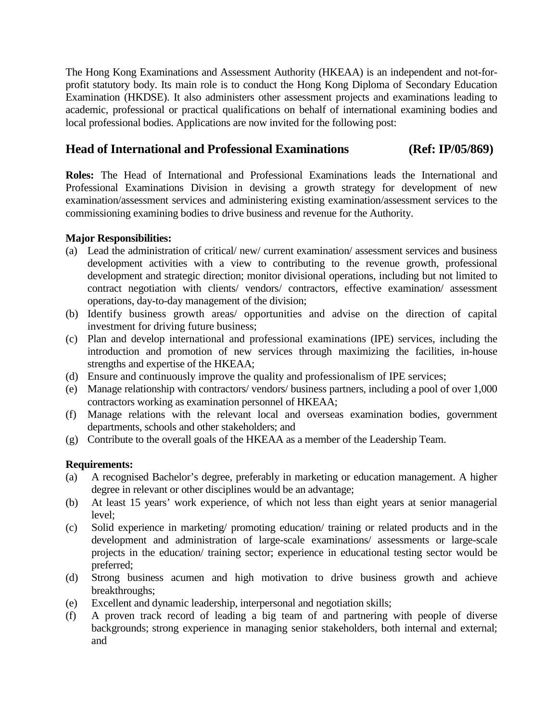The Hong Kong Examinations and Assessment Authority (HKEAA) is an independent and not-forprofit statutory body. Its main role is to conduct the Hong Kong Diploma of Secondary Education Examination (HKDSE). It also administers other assessment projects and examinations leading to academic, professional or practical qualifications on behalf of international examining bodies and local professional bodies. Applications are now invited for the following post:

## **Head of International and Professional Examinations (Ref: IP/05/869)**

**Roles:** The Head of International and Professional Examinations leads the International and Professional Examinations Division in devising a growth strategy for development of new examination/assessment services and administering existing examination/assessment services to the commissioning examining bodies to drive business and revenue for the Authority.

## **Major Responsibilities:**

- (a) Lead the administration of critical/ new/ current examination/ assessment services and business development activities with a view to contributing to the revenue growth, professional development and strategic direction; monitor divisional operations, including but not limited to contract negotiation with clients/ vendors/ contractors, effective examination/ assessment operations, day-to-day management of the division;
- (b) Identify business growth areas/ opportunities and advise on the direction of capital investment for driving future business;
- (c) Plan and develop international and professional examinations (IPE) services, including the introduction and promotion of new services through maximizing the facilities, in-house strengths and expertise of the HKEAA;
- (d) Ensure and continuously improve the quality and professionalism of IPE services;
- (e) Manage relationship with contractors/ vendors/ business partners, including a pool of over 1,000 contractors working as examination personnel of HKEAA;
- (f) Manage relations with the relevant local and overseas examination bodies, government departments, schools and other stakeholders; and
- (g) Contribute to the overall goals of the HKEAA as a member of the Leadership Team.

## **Requirements:**

- (a) A recognised Bachelor's degree, preferably in marketing or education management. A higher degree in relevant or other disciplines would be an advantage;
- (b) At least 15 years' work experience, of which not less than eight years at senior managerial level;
- (c) Solid experience in marketing/ promoting education/ training or related products and in the development and administration of large-scale examinations/ assessments or large-scale projects in the education/ training sector; experience in educational testing sector would be preferred;
- (d) Strong business acumen and high motivation to drive business growth and achieve breakthroughs;
- (e) Excellent and dynamic leadership, interpersonal and negotiation skills;
- (f) A proven track record of leading a big team of and partnering with people of diverse backgrounds; strong experience in managing senior stakeholders, both internal and external; and